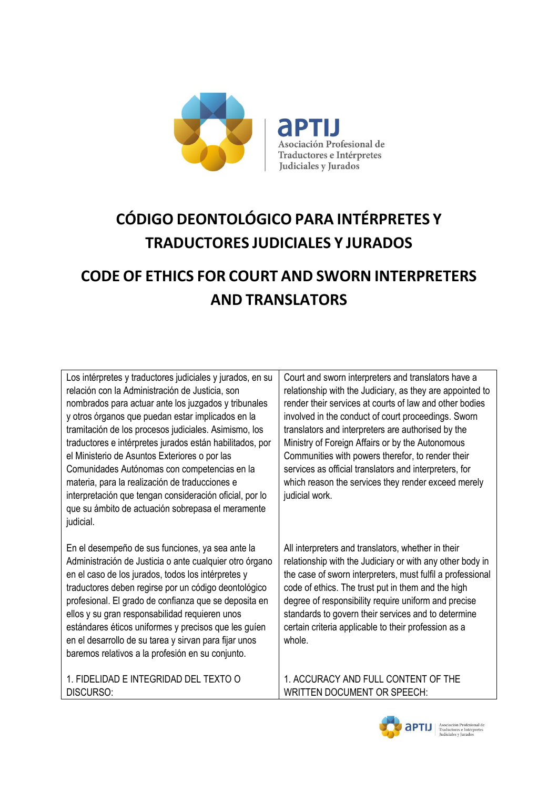

# **CÓDIGO DEONTOLÓGICO PARA INTÉRPRETES Y TRADUCTORES JUDICIALES Y JURADOS**

# **CODE OF ETHICS FOR COURT AND SWORN INTERPRETERS AND TRANSLATORS**

Los intérpretes y traductores judiciales y jurados, en su relación con la Administración de Justicia, son nombrados para actuar ante los juzgados y tribunales y otros órganos que puedan estar implicados en la tramitación de los procesos judiciales. Asimismo, los traductores e intérpretes jurados están habilitados, por el Ministerio de Asuntos Exteriores o por las Comunidades Autónomas con competencias en la materia, para la realización de traducciones e interpretación que tengan consideración oficial, por lo que su ámbito de actuación sobrepasa el meramente judicial.

En el desempeño de sus funciones, ya sea ante la Administración de Justicia o ante cualquier otro órgano en el caso de los jurados, todos los intérpretes y traductores deben regirse por un código deontológico profesional. El grado de confianza que se deposita en ellos y su gran responsabilidad requieren unos estándares éticos uniformes y precisos que les guíen en el desarrollo de su tarea y sirvan para fijar unos baremos relativos a la profesión en su conjunto.

1. FIDELIDAD E INTEGRIDAD DEL TEXTO O DISCURSO:

Court and sworn interpreters and translators have a relationship with the Judiciary, as they are appointed to render their services at courts of law and other bodies involved in the conduct of court proceedings. Sworn translators and interpreters are authorised by the Ministry of Foreign Affairs or by the Autonomous Communities with powers therefor, to render their services as official translators and interpreters, for which reason the services they render exceed merely judicial work.

All interpreters and translators, whether in their relationship with the Judiciary or with any other body in the case of sworn interpreters, must fulfil a professional code of ethics. The trust put in them and the high degree of responsibility require uniform and precise standards to govern their services and to determine certain criteria applicable to their profession as a whole.

1. ACCURACY AND FULL CONTENT OF THE WRITTEN DOCUMENT OR SPEECH:

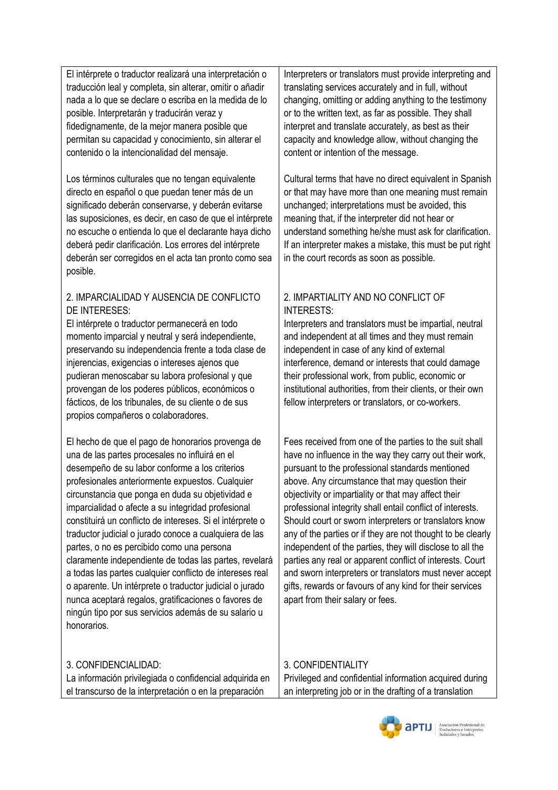El intérprete o traductor realizará una interpretación o traducción leal y completa, sin alterar, omitir o añadir nada a lo que se declare o escriba en la medida de lo posible. Interpretarán y traducirán veraz y fidedignamente, de la mejor manera posible que permitan su capacidad y conocimiento, sin alterar el contenido o la intencionalidad del mensaje.

Los términos culturales que no tengan equivalente directo en español o que puedan tener más de un significado deberán conservarse, y deberán evitarse las suposiciones, es decir, en caso de que el intérprete no escuche o entienda lo que el declarante haya dicho deberá pedir clarificación. Los errores del intérprete deberán ser corregidos en el acta tan pronto como sea posible.

#### 2. IMPARCIALIDAD Y AUSENCIA DE CONFLICTO DE INTERESES:

El intérprete o traductor permanecerá en todo momento imparcial y neutral y será independiente, preservando su independencia frente a toda clase de injerencias, exigencias o intereses ajenos que pudieran menoscabar su labora profesional y que provengan de los poderes públicos, económicos o fácticos, de los tribunales, de su cliente o de sus propios compañeros o colaboradores.

El hecho de que el pago de honorarios provenga de una de las partes procesales no influirá en el desempeño de su labor conforme a los criterios profesionales anteriormente expuestos. Cualquier circunstancia que ponga en duda su objetividad e imparcialidad o afecte a su integridad profesional constituirá un conflicto de intereses. Si el intérprete o traductor judicial o jurado conoce a cualquiera de las partes, o no es percibido como una persona claramente independiente de todas las partes, revelará a todas las partes cualquier conflicto de intereses real o aparente. Un intérprete o traductor judicial o jurado nunca aceptará regalos, gratificaciones o favores de ningún tipo por sus servicios además de su salario u honorarios.

Interpreters or translators must provide interpreting and translating services accurately and in full, without changing, omitting or adding anything to the testimony or to the written text, as far as possible. They shall interpret and translate accurately, as best as their capacity and knowledge allow, without changing the content or intention of the message.

Cultural terms that have no direct equivalent in Spanish or that may have more than one meaning must remain unchanged; interpretations must be avoided, this meaning that, if the interpreter did not hear or understand something he/she must ask for clarification. If an interpreter makes a mistake, this must be put right in the court records as soon as possible.

### 2. IMPARTIALITY AND NO CONFLICT OF INTERESTS:

Interpreters and translators must be impartial, neutral and independent at all times and they must remain independent in case of any kind of external interference, demand or interests that could damage their professional work, from public, economic or institutional authorities, from their clients, or their own fellow interpreters or translators, or co-workers.

Fees received from one of the parties to the suit shall have no influence in the way they carry out their work, pursuant to the professional standards mentioned above. Any circumstance that may question their objectivity or impartiality or that may affect their professional integrity shall entail conflict of interests. Should court or sworn interpreters or translators know any of the parties or if they are not thought to be clearly independent of the parties, they will disclose to all the parties any real or apparent conflict of interests. Court and sworn interpreters or translators must never accept gifts, rewards or favours of any kind for their services apart from their salary or fees.

# 3. CONFIDENCIALIDAD:

La información privilegiada o confidencial adquirida en el transcurso de la interpretación o en la preparación

#### 3. CONFIDENTIALITY

Privileged and confidential information acquired during an interpreting job or in the drafting of a translation

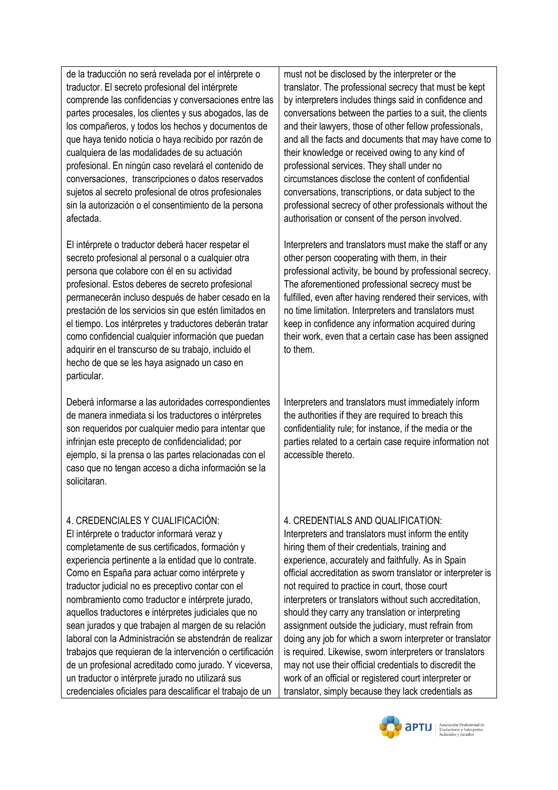de la traducción no será revelada por el intérprete o traductor. El secreto profesional del intérprete comprende las confidencias y conversaciones entre las partes procesales, los clientes y sus abogados, las de los compañeros, y todos los hechos y documentos de que haya tenido noticia o haya recibido por razón de cualquiera de las modalidades de su actuación profesional. En ningún caso revelará el contenido de conversaciones, transcripciones o datos reservados sujetos al secreto profesional de otros profesionales sin la autorización o el consentimiento de la persona afectada.

El intérprete o traductor deberá hacer respetar el secreto profesional al personal o a cualquier otra persona que colabore con él en su actividad profesional. Estos deberes de secreto profesional permanecerán incluso después de haber cesado en la prestación de los servicios sin que estén limitados en el tiempo. Los intérpretes y traductores deberán tratar como confidencial cualquier información que puedan adquirir en el transcurso de su trabajo, incluido el hecho de que se les haya asignado un caso en particular.

Deberá informarse a las autoridades correspondientes de manera inmediata si los traductores o intérpretes son requeridos por cualquier medio para intentar que infrinjan este precepto de confidencialidad; por ejemplo, si la prensa o las partes relacionadas con el caso que no tengan acceso a dicha información se la solicitaran.

#### 4. CREDENCIALES Y CUALIFICACIÓN: El intérprete o traductor informará veraz y completamente de sus certificados, formación y experiencia pertinente a la entidad que lo contrate. Como en España para actuar como intérprete y traductor judicial no es preceptivo contar con el nombramiento como traductor e intérprete jurado, aquellos traductores e intérpretes judiciales que no sean jurados y que trabajen al margen de su relación laboral con la Administración se abstendrán de realizar trabajos que requieran de la intervención o certificación de un profesional acreditado como jurado. Y viceversa, un traductor o intérprete jurado no utilizará sus credenciales oficiales para descalificar el trabajo de un

must not be disclosed by the interpreter or the translator. The professional secrecy that must be kept by interpreters includes things said in confidence and conversations between the parties to a suit, the clients and their lawyers, those of other fellow professionals, and all the facts and documents that may have come to their knowledge or received owing to any kind of professional services. They shall under no circumstances disclose the content of confidential conversations, transcriptions, or data subject to the professional secrecy of other professionals without the authorisation or consent of the person involved.

Interpreters and translators must make the staff or any other person cooperating with them, in their professional activity, be bound by professional secrecy. The aforementioned professional secrecy must be fulfilled, even after having rendered their services, with no time limitation. Interpreters and translators must keep in confidence any information acquired during their work, even that a certain case has been assigned to them.

Interpreters and translators must immediately inform the authorities if they are required to breach this confidentiality rule; for instance, if the media or the parties related to a certain case require information not accessible thereto.

# 4. CREDENTIALS AND QUALIFICATION:

Interpreters and translators must inform the entity hiring them of their credentials, training and experience, accurately and faithfully. As in Spain official accreditation as sworn translator or interpreter is not required to practice in court, those court interpreters or translators without such accreditation, should they carry any translation or interpreting assignment outside the judiciary, must refrain from doing any job for which a sworn interpreter or translator is required. Likewise, sworn interpreters or translators may not use their official credentials to discredit the work of an official or registered court interpreter or translator, simply because they lack credentials as